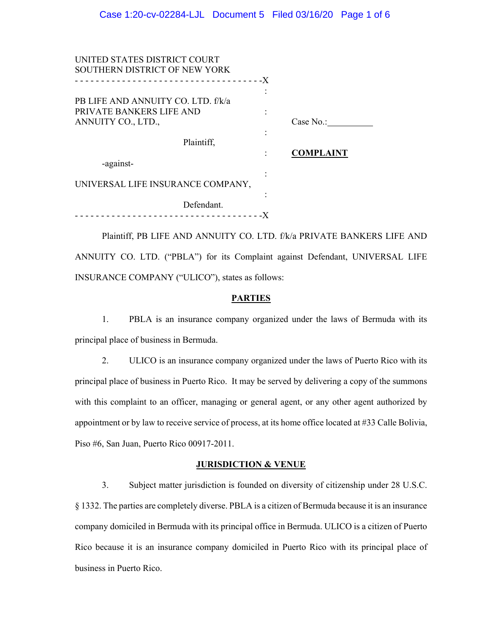| UNITED STATES DISTRICT COURT<br>SOUTHERN DISTRICT OF NEW YORK |                       |  |
|---------------------------------------------------------------|-----------------------|--|
|                                                               |                       |  |
|                                                               | ٠                     |  |
| PB LIFE AND ANNUITY CO. LTD. f/k/a                            |                       |  |
| PRIVATE BANKERS LIFE AND                                      |                       |  |
| ANNUITY CO., LTD.,                                            | Case $No.$ :          |  |
|                                                               |                       |  |
| Plaintiff,                                                    |                       |  |
|                                                               | <b>COMPLAINT</b><br>٠ |  |
| -against-                                                     |                       |  |
|                                                               | ٠                     |  |
| UNIVERSAL LIFE INSURANCE COMPANY,                             |                       |  |
|                                                               |                       |  |
| Defendant.                                                    |                       |  |
|                                                               |                       |  |

Plaintiff, PB LIFE AND ANNUITY CO. LTD. f/k/a PRIVATE BANKERS LIFE AND ANNUITY CO. LTD. ("PBLA") for its Complaint against Defendant, UNIVERSAL LIFE INSURANCE COMPANY ("ULICO"), states as follows:

### **PARTIES**

1. PBLA is an insurance company organized under the laws of Bermuda with its principal place of business in Bermuda.

2. ULICO is an insurance company organized under the laws of Puerto Rico with its principal place of business in Puerto Rico. It may be served by delivering a copy of the summons with this complaint to an officer, managing or general agent, or any other agent authorized by appointment or by law to receive service of process, at its home office located at #33 Calle Bolivia, Piso #6, San Juan, Puerto Rico 00917-2011.

#### **JURISDICTION & VENUE**

3. Subject matter jurisdiction is founded on diversity of citizenship under 28 U.S.C. § 1332. The parties are completely diverse. PBLA is a citizen of Bermuda because it is an insurance company domiciled in Bermuda with its principal office in Bermuda. ULICO is a citizen of Puerto Rico because it is an insurance company domiciled in Puerto Rico with its principal place of business in Puerto Rico.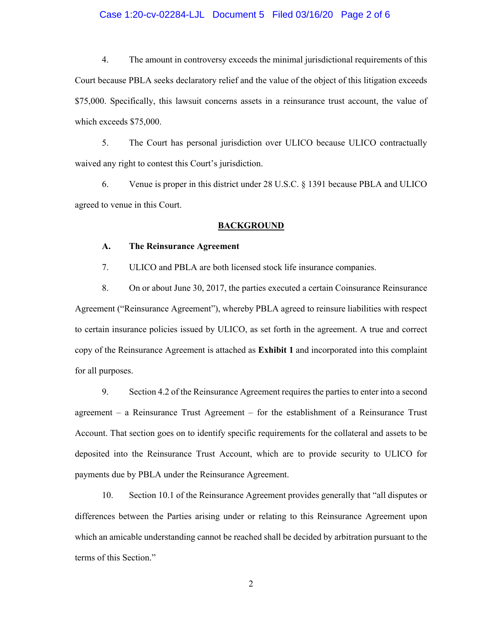## Case 1:20-cv-02284-LJL Document 5 Filed 03/16/20 Page 2 of 6

4. The amount in controversy exceeds the minimal jurisdictional requirements of this Court because PBLA seeks declaratory relief and the value of the object of this litigation exceeds \$75,000. Specifically, this lawsuit concerns assets in a reinsurance trust account, the value of which exceeds \$75,000.

5. The Court has personal jurisdiction over ULICO because ULICO contractually waived any right to contest this Court's jurisdiction.

6. Venue is proper in this district under 28 U.S.C. § 1391 because PBLA and ULICO agreed to venue in this Court.

#### **BACKGROUND**

### **A. The Reinsurance Agreement**

7. ULICO and PBLA are both licensed stock life insurance companies.

8. On or about June 30, 2017, the parties executed a certain Coinsurance Reinsurance Agreement ("Reinsurance Agreement"), whereby PBLA agreed to reinsure liabilities with respect to certain insurance policies issued by ULICO, as set forth in the agreement. A true and correct copy of the Reinsurance Agreement is attached as **Exhibit 1** and incorporated into this complaint for all purposes.

9. Section 4.2 of the Reinsurance Agreement requires the parties to enter into a second agreement – a Reinsurance Trust Agreement – for the establishment of a Reinsurance Trust Account. That section goes on to identify specific requirements for the collateral and assets to be deposited into the Reinsurance Trust Account, which are to provide security to ULICO for payments due by PBLA under the Reinsurance Agreement.

10. Section 10.1 of the Reinsurance Agreement provides generally that "all disputes or differences between the Parties arising under or relating to this Reinsurance Agreement upon which an amicable understanding cannot be reached shall be decided by arbitration pursuant to the terms of this Section."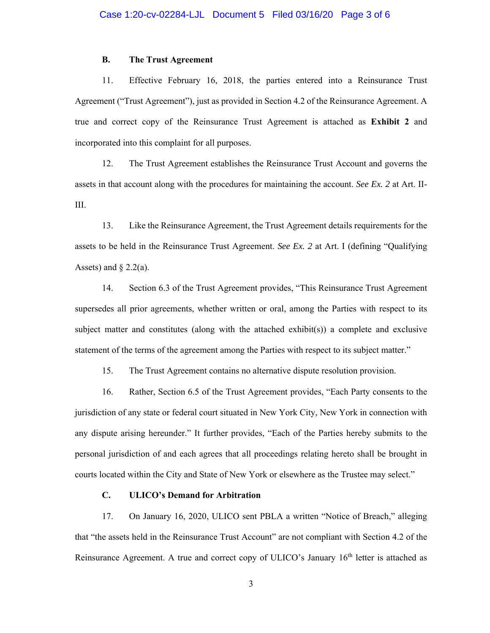#### **B. The Trust Agreement**

11. Effective February 16, 2018, the parties entered into a Reinsurance Trust Agreement ("Trust Agreement"), just as provided in Section 4.2 of the Reinsurance Agreement. A true and correct copy of the Reinsurance Trust Agreement is attached as **Exhibit 2** and incorporated into this complaint for all purposes.

12. The Trust Agreement establishes the Reinsurance Trust Account and governs the assets in that account along with the procedures for maintaining the account. *See Ex. 2* at Art. II-III.

13. Like the Reinsurance Agreement, the Trust Agreement details requirements for the assets to be held in the Reinsurance Trust Agreement. *See Ex. 2* at Art. I (defining "Qualifying Assets) and  $\S$  2.2(a).

14. Section 6.3 of the Trust Agreement provides, "This Reinsurance Trust Agreement supersedes all prior agreements, whether written or oral, among the Parties with respect to its subject matter and constitutes (along with the attached exhibit(s)) a complete and exclusive statement of the terms of the agreement among the Parties with respect to its subject matter."

15. The Trust Agreement contains no alternative dispute resolution provision.

16. Rather, Section 6.5 of the Trust Agreement provides, "Each Party consents to the jurisdiction of any state or federal court situated in New York City, New York in connection with any dispute arising hereunder." It further provides, "Each of the Parties hereby submits to the personal jurisdiction of and each agrees that all proceedings relating hereto shall be brought in courts located within the City and State of New York or elsewhere as the Trustee may select."

## **C. ULICO's Demand for Arbitration**

17. On January 16, 2020, ULICO sent PBLA a written "Notice of Breach," alleging that "the assets held in the Reinsurance Trust Account" are not compliant with Section 4.2 of the Reinsurance Agreement. A true and correct copy of ULICO's January  $16<sup>th</sup>$  letter is attached as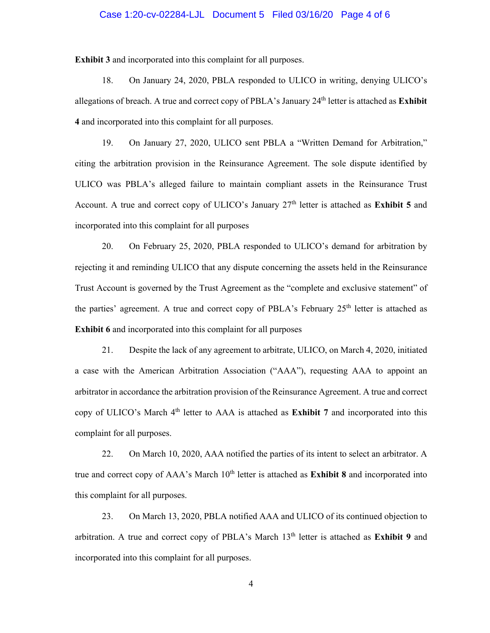### Case 1:20-cv-02284-LJL Document 5 Filed 03/16/20 Page 4 of 6

**Exhibit 3** and incorporated into this complaint for all purposes.

18. On January 24, 2020, PBLA responded to ULICO in writing, denying ULICO's allegations of breach. A true and correct copy of PBLA's January 24<sup>th</sup> letter is attached as **Exhibit 4** and incorporated into this complaint for all purposes.

19. On January 27, 2020, ULICO sent PBLA a "Written Demand for Arbitration," citing the arbitration provision in the Reinsurance Agreement. The sole dispute identified by ULICO was PBLA's alleged failure to maintain compliant assets in the Reinsurance Trust Account. A true and correct copy of ULICO's January  $27<sup>th</sup>$  letter is attached as **Exhibit 5** and incorporated into this complaint for all purposes

20. On February 25, 2020, PBLA responded to ULICO's demand for arbitration by rejecting it and reminding ULICO that any dispute concerning the assets held in the Reinsurance Trust Account is governed by the Trust Agreement as the "complete and exclusive statement" of the parties' agreement. A true and correct copy of PBLA's February  $25<sup>th</sup>$  letter is attached as **Exhibit 6** and incorporated into this complaint for all purposes

21. Despite the lack of any agreement to arbitrate, ULICO, on March 4, 2020, initiated a case with the American Arbitration Association ("AAA"), requesting AAA to appoint an arbitrator in accordance the arbitration provision of the Reinsurance Agreement. A true and correct copy of ULICO's March 4<sup>th</sup> letter to AAA is attached as **Exhibit 7** and incorporated into this complaint for all purposes.

22. On March 10, 2020, AAA notified the parties of its intent to select an arbitrator. A true and correct copy of AAA's March 10<sup>th</sup> letter is attached as **Exhibit 8** and incorporated into this complaint for all purposes.

23. On March 13, 2020, PBLA notified AAA and ULICO of its continued objection to arbitration. A true and correct copy of PBLA's March 13<sup>th</sup> letter is attached as **Exhibit 9** and incorporated into this complaint for all purposes.

4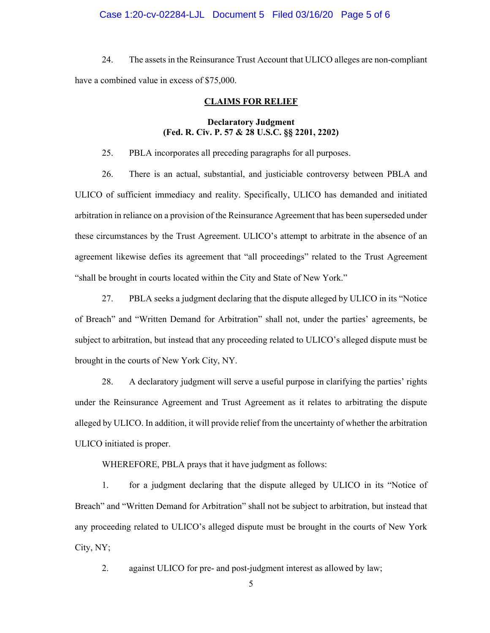### Case 1:20-cv-02284-LJL Document 5 Filed 03/16/20 Page 5 of 6

24. The assets in the Reinsurance Trust Account that ULICO alleges are non-compliant have a combined value in excess of \$75,000.

#### **CLAIMS FOR RELIEF**

## **Declaratory Judgment (Fed. R. Civ. P. 57 & 28 U.S.C. §§ 2201, 2202)**

25. PBLA incorporates all preceding paragraphs for all purposes.

26. There is an actual, substantial, and justiciable controversy between PBLA and ULICO of sufficient immediacy and reality. Specifically, ULICO has demanded and initiated arbitration in reliance on a provision of the Reinsurance Agreement that has been superseded under these circumstances by the Trust Agreement. ULICO's attempt to arbitrate in the absence of an agreement likewise defies its agreement that "all proceedings" related to the Trust Agreement "shall be brought in courts located within the City and State of New York."

27. PBLA seeks a judgment declaring that the dispute alleged by ULICO in its "Notice of Breach" and "Written Demand for Arbitration" shall not, under the parties' agreements, be subject to arbitration, but instead that any proceeding related to ULICO's alleged dispute must be brought in the courts of New York City, NY.

28. A declaratory judgment will serve a useful purpose in clarifying the parties' rights under the Reinsurance Agreement and Trust Agreement as it relates to arbitrating the dispute alleged by ULICO. In addition, it will provide relief from the uncertainty of whether the arbitration ULICO initiated is proper.

WHEREFORE, PBLA prays that it have judgment as follows:

1. for a judgment declaring that the dispute alleged by ULICO in its "Notice of Breach" and "Written Demand for Arbitration" shall not be subject to arbitration, but instead that any proceeding related to ULICO's alleged dispute must be brought in the courts of New York City, NY;

2. against ULICO for pre- and post-judgment interest as allowed by law;